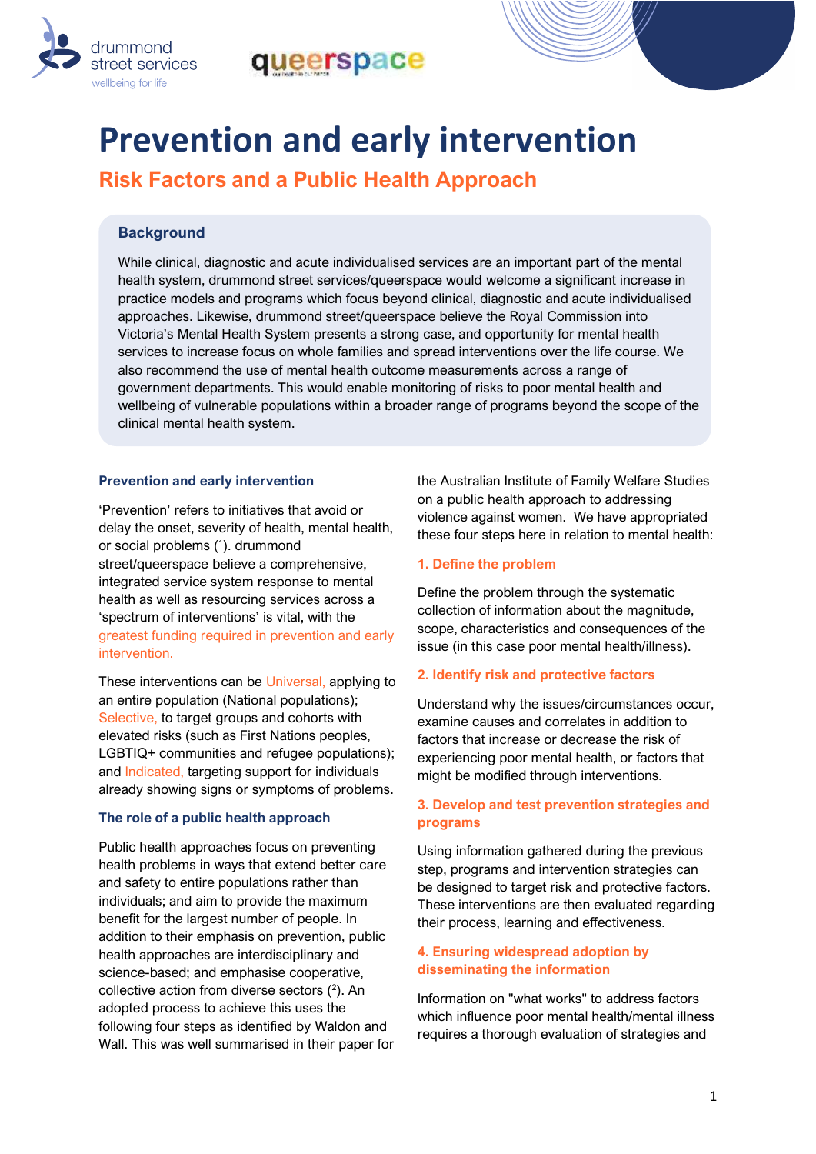



# **Prevention and early intervention**

**Risk Factors and a Public Health Approach** 

# **Background**

While clinical, diagnostic and acute individualised services are an important part of the mental health system, drummond street services/queerspace would welcome a significant increase in practice models and programs which focus beyond clinical, diagnostic and acute individualised approaches. Likewise, drummond street/queerspace believe the Royal Commission into Victoria's Mental Health System presents a strong case, and opportunity for mental health services to increase focus on whole families and spread interventions over the life course. We also recommend the use of mental health outcome measurements across a range of government departments. This would enable monitoring of risks to poor mental health and wellbeing of vulnerable populations within a broader range of programs beyond the scope of the clinical mental health system.

## **Prevention and early intervention**

'Prevention' refers to initiatives that avoid or delay the onset, severity of health, mental health, or social problems ( 1 ). drummond street/queerspace believe a comprehensive, integrated service system response to mental health as well as resourcing services across a 'spectrum of interventions' is vital, with the greatest funding required in prevention and early intervention.

These interventions can be Universal, applying to an entire population (National populations); Selective, to target groups and cohorts with elevated risks (such as First Nations peoples, LGBTIQ+ communities and refugee populations); and Indicated, targeting support for individuals already showing signs or symptoms of problems.

### **The role of a public health approach**

Public health approaches focus on preventing health problems in ways that extend better care and safety to entire populations rather than individuals; and aim to provide the maximum benefit for the largest number of people. In addition to their emphasis on prevention, public health approaches are interdisciplinary and science-based; and emphasise cooperative, collective action from diverse sectors  $(^2)$ . An adopted process to achieve this uses the following four steps as identified by Waldon and Wall. This was well summarised in their paper for the Australian Institute of Family Welfare Studies on a public health approach to addressing violence against women. We have appropriated these four steps here in relation to mental health:

### **1. Define the problem**

Define the problem through the systematic collection of information about the magnitude, scope, characteristics and consequences of the issue (in this case poor mental health/illness).

### **2. Identify risk and protective factors**

Understand why the issues/circumstances occur, examine causes and correlates in addition to factors that increase or decrease the risk of experiencing poor mental health, or factors that might be modified through interventions.

### **3. Develop and test prevention strategies and programs**

Using information gathered during the previous step, programs and intervention strategies can be designed to target risk and protective factors. These interventions are then evaluated regarding their process, learning and effectiveness.

### **4. Ensuring widespread adoption by disseminating the information**

Information on "what works" to address factors which influence poor mental health/mental illness requires a thorough evaluation of strategies and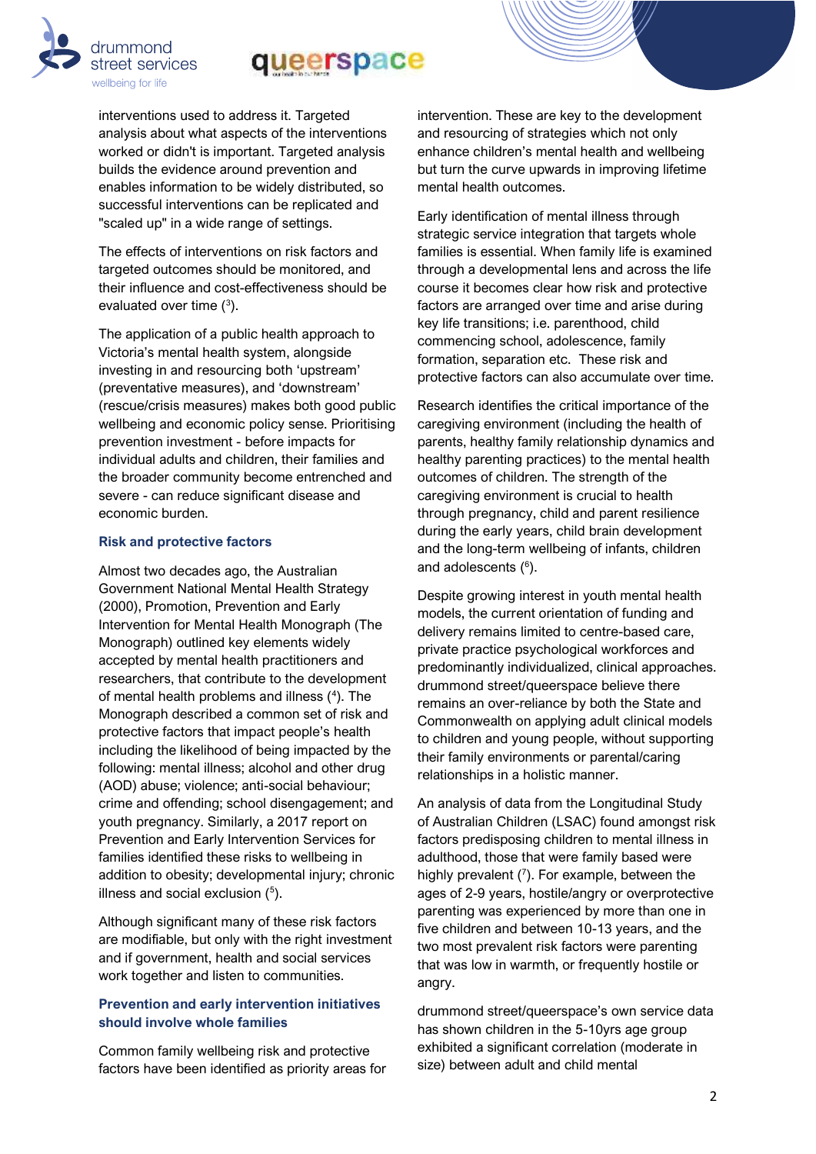# queerspace

interventions used to address it. Targeted analysis about what aspects of the interventions worked or didn't is important. Targeted analysis builds the evidence around prevention and enables information to be widely distributed, so successful interventions can be replicated and "scaled up" in a wide range of settings.

drummond

street services wellbeing for life

The effects of interventions on risk factors and targeted outcomes should be monitored, and their influence and cost-effectiveness should be evaluated over time  $(3)$ .

The application of a public health approach to Victoria's mental health system, alongside investing in and resourcing both 'upstream' (preventative measures), and 'downstream' (rescue/crisis measures) makes both good public wellbeing and economic policy sense. Prioritising prevention investment - before impacts for individual adults and children, their families and the broader community become entrenched and severe - can reduce significant disease and economic burden.

#### **Risk and protective factors**

Almost two decades ago, the Australian Government National Mental Health Strategy (2000), Promotion, Prevention and Early Intervention for Mental Health Monograph (The Monograph) outlined key elements widely accepted by mental health practitioners and researchers, that contribute to the development of mental health problems and illness  $(4)$ . The Monograph described a common set of risk and protective factors that impact people's health including the likelihood of being impacted by the following: mental illness; alcohol and other drug (AOD) abuse; violence; anti-social behaviour; crime and offending; school disengagement; and youth pregnancy. Similarly, a 2017 report on Prevention and Early Intervention Services for families identified these risks to wellbeing in addition to obesity; developmental injury; chronic illness and social exclusion  $(^5)$ .

Although significant many of these risk factors are modifiable, but only with the right investment and if government, health and social services work together and listen to communities.

#### **Prevention and early intervention initiatives should involve whole families**

Common family wellbeing risk and protective factors have been identified as priority areas for intervention. These are key to the development and resourcing of strategies which not only enhance children's mental health and wellbeing but turn the curve upwards in improving lifetime mental health outcomes.

Early identification of mental illness through strategic service integration that targets whole families is essential. When family life is examined through a developmental lens and across the life course it becomes clear how risk and protective factors are arranged over time and arise during key life transitions; i.e. parenthood, child commencing school, adolescence, family formation, separation etc. These risk and protective factors can also accumulate over time.

Research identifies the critical importance of the caregiving environment (including the health of parents, healthy family relationship dynamics and healthy parenting practices) to the mental health outcomes of children. The strength of the caregiving environment is crucial to health through pregnancy, child and parent resilience during the early years, child brain development and the long-term wellbeing of infants, children and adolescents ( 6 ).

Despite growing interest in youth mental health models, the current orientation of funding and delivery remains limited to centre-based care, private practice psychological workforces and predominantly individualized, clinical approaches. drummond street/queerspace believe there remains an over-reliance by both the State and Commonwealth on applying adult clinical models to children and young people, without supporting their family environments or parental/caring relationships in a holistic manner.

An analysis of data from the Longitudinal Study of Australian Children (LSAC) found amongst risk factors predisposing children to mental illness in adulthood, those that were family based were highly prevalent  $(7)$ . For example, between the ages of 2-9 years, hostile/angry or overprotective parenting was experienced by more than one in five children and between 10-13 years, and the two most prevalent risk factors were parenting that was low in warmth, or frequently hostile or angry.

drummond street/queerspace's own service data has shown children in the 5-10yrs age group exhibited a significant correlation (moderate in size) between adult and child mental